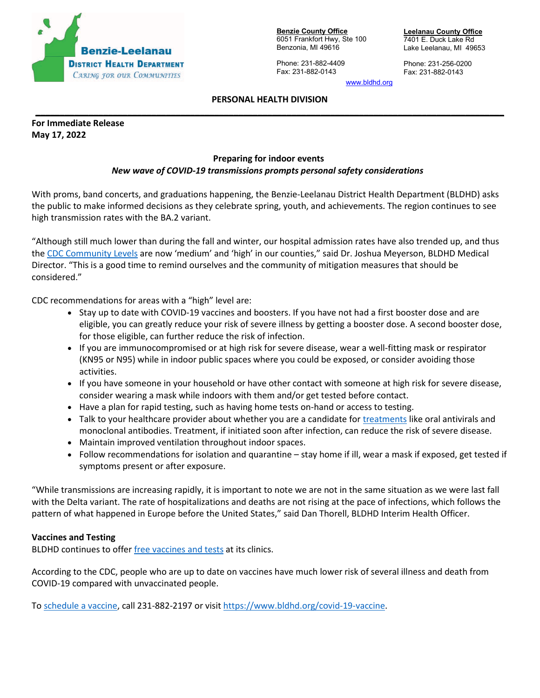

**Benzie County Office** 6051 Frankfort Hwy, Ste 100 Benzonia, MI 49616

Phone: 231-882-4409 Fax: 231-882-0143

**Leelanau County Office** 7401 E. Duck Lake Rd Lake Leelanau, MI 49653

Phone: 231-256-0200 Fax: 231-882-0143

[www.bldhd.org](http://www.bldhd.org/)

## **PERSONAL HEALTH DIVISION \_\_\_\_\_\_\_\_\_\_\_\_\_\_\_\_\_\_\_\_\_\_\_\_\_\_\_\_\_\_\_\_\_\_\_\_\_\_\_\_\_\_\_\_\_\_\_\_\_\_\_\_\_\_\_\_\_\_\_\_\_\_\_\_\_\_\_\_\_\_\_\_\_\_\_\_\_\_\_\_\_\_\_\_\_\_\_\_\_\_\_\_\_\_\_\_\_**

**For Immediate Release May 17, 2022**

## **Preparing for indoor events**

## *New wave of COVID-19 transmissions prompts personal safety considerations*

With proms, band concerts, and graduations happening, the Benzie-Leelanau District Health Department (BLDHD) asks the public to make informed decisions as they celebrate spring, youth, and achievements. The region continues to see high transmission rates with the BA.2 variant.

"Although still much lower than during the fall and winter, our hospital admission rates have also trended up, and thus the [CDC Community Levels](https://www.cdc.gov/coronavirus/2019-ncov/science/community-levels.html) are now 'medium' and 'high' in our counties," said Dr. Joshua Meyerson, BLDHD Medical Director. "This is a good time to remind ourselves and the community of mitigation measures that should be considered."

CDC recommendations for areas with a "high" level are:

- Stay up to date with COVID-19 vaccines and boosters. If you have not had a first booster dose and are eligible, you can greatly reduce your risk of severe illness by getting a booster dose. A second booster dose, for those eligible, can further reduce the risk of infection.
- If you are immunocompromised or at high risk for severe disease, wear a well-fitting mask or respirator (KN95 or N95) while in indoor public spaces where you could be exposed, or consider avoiding those activities.
- If you have someone in your household or have other contact with someone at high risk for severe disease, consider wearing a mask while indoors with them and/or get tested before contact.
- Have a plan for rapid testing, such as having home tests on-hand or access to testing.
- Talk to your healthcare provider about whether you are a candidate for [treatments](https://emergency.cdc.gov/newsletters/coca/040422.htm) like oral antivirals and monoclonal antibodies. Treatment, if initiated soon after infection, can reduce the risk of severe disease.
- Maintain improved ventilation throughout indoor spaces.
- Follow recommendations for isolation and quarantine stay home if ill, wear a mask if exposed, get tested if symptoms present or after exposure.

"While transmissions are increasing rapidly, it is important to note we are not in the same situation as we were last fall with the Delta variant. The rate of hospitalizations and deaths are not rising at the pace of infections, which follows the pattern of what happened in Europe before the United States," said Dan Thorell, BLDHD Interim Health Officer.

## **Vaccines and Testing**

BLDHD continues to offer [free vaccines and tests](http://www.bldhd.org/) at its clinics.

According to the CDC, people who are up to date on vaccines have much lower risk of several illness and death from COVID-19 compared with unvaccinated people.

To [schedule a vaccine,](https://www.bldhd.org/covid-19-vaccine) call 231-882-2197 or visit [https://www.bldhd.org/covid-19-vaccine.](https://www.bldhd.org/covid-19-vaccine)